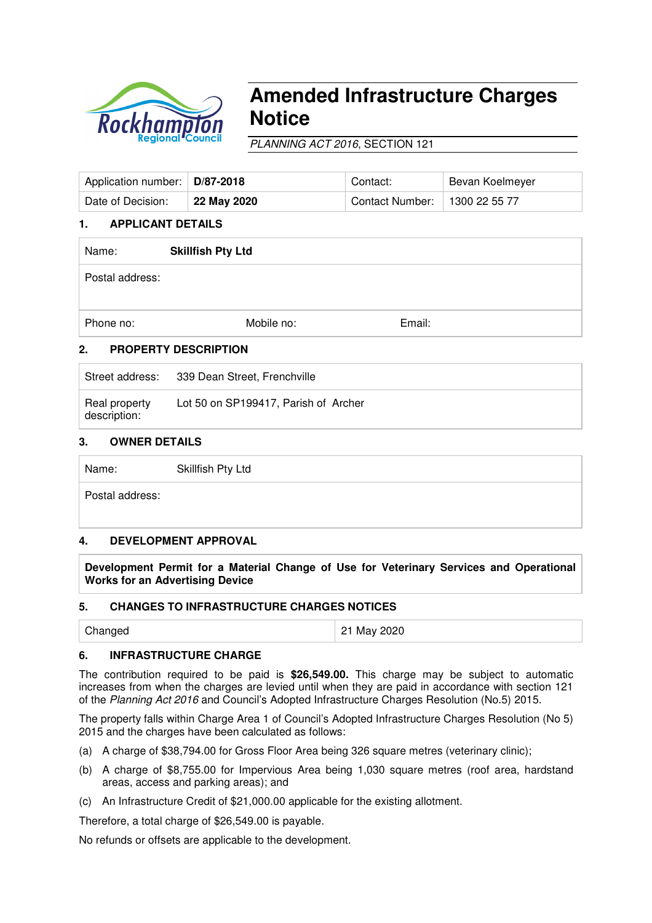

# **Amended Infrastructure Charges Notice**

PLANNING ACT 2016, SECTION 121

| Application number:               | D/87-2018   | Contact:        | Bevan Koelmeyer |  |  |  |  |
|-----------------------------------|-------------|-----------------|-----------------|--|--|--|--|
| Date of Decision:                 | 22 May 2020 | Contact Number: | 1300 22 55 77   |  |  |  |  |
| <b>APPLICANT DETAILS</b><br>1.    |             |                 |                 |  |  |  |  |
| <b>Skillfish Pty Ltd</b><br>Name: |             |                 |                 |  |  |  |  |

Phone no: **Email:** Mobile no: Email: **Email:** 

# **2. PROPERTY DESCRIPTION**

| Street address:               | 339 Dean Street, Frenchville         |
|-------------------------------|--------------------------------------|
| Real property<br>description: | Lot 50 on SP199417, Parish of Archer |

## **3. OWNER DETAILS**

Name: Skillfish Pty Ltd

Postal address:

## **4. DEVELOPMENT APPROVAL**

**Development Permit for a Material Change of Use for Veterinary Services and Operational Works for an Advertising Device** 

### **5. CHANGES TO INFRASTRUCTURE CHARGES NOTICES**

| 21 May 2020<br>Changed |  |
|------------------------|--|
|------------------------|--|

### **6. INFRASTRUCTURE CHARGE**

The contribution required to be paid is **\$26,549.00.** This charge may be subject to automatic increases from when the charges are levied until when they are paid in accordance with section 121 of the Planning Act 2016 and Council's Adopted Infrastructure Charges Resolution (No.5) 2015.

The property falls within Charge Area 1 of Council's Adopted Infrastructure Charges Resolution (No 5) 2015 and the charges have been calculated as follows:

- (a) A charge of \$38,794.00 for Gross Floor Area being 326 square metres (veterinary clinic);
- (b) A charge of \$8,755.00 for Impervious Area being 1,030 square metres (roof area, hardstand areas, access and parking areas); and
- (c) An Infrastructure Credit of \$21,000.00 applicable for the existing allotment.

Therefore, a total charge of \$26,549.00 is payable.

No refunds or offsets are applicable to the development.